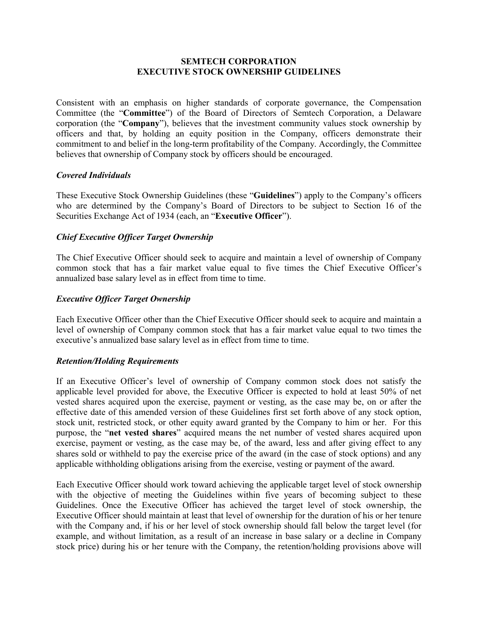## **SEMTECH CORPORATION EXECUTIVE STOCK OWNERSHIP GUIDELINES**

Consistent with an emphasis on higher standards of corporate governance, the Compensation Committee (the "**Committee**") of the Board of Directors of Semtech Corporation, a Delaware corporation (the "**Company**"), believes that the investment community values stock ownership by officers and that, by holding an equity position in the Company, officers demonstrate their commitment to and belief in the long-term profitability of the Company. Accordingly, the Committee believes that ownership of Company stock by officers should be encouraged.

## *Covered Individuals*

These Executive Stock Ownership Guidelines (these "**Guidelines**") apply to the Company's officers who are determined by the Company's Board of Directors to be subject to Section 16 of the Securities Exchange Act of 1934 (each, an "**Executive Officer**").

## *Chief Executive Officer Target Ownership*

The Chief Executive Officer should seek to acquire and maintain a level of ownership of Company common stock that has a fair market value equal to five times the Chief Executive Officer's annualized base salary level as in effect from time to time.

## *Executive Officer Target Ownership*

Each Executive Officer other than the Chief Executive Officer should seek to acquire and maintain a level of ownership of Company common stock that has a fair market value equal to two times the executive's annualized base salary level as in effect from time to time.

#### *Retention/Holding Requirements*

If an Executive Officer's level of ownership of Company common stock does not satisfy the applicable level provided for above, the Executive Officer is expected to hold at least 50% of net vested shares acquired upon the exercise, payment or vesting, as the case may be, on or after the effective date of this amended version of these Guidelines first set forth above of any stock option, stock unit, restricted stock, or other equity award granted by the Company to him or her. For this purpose, the "**net vested shares**" acquired means the net number of vested shares acquired upon exercise, payment or vesting, as the case may be, of the award, less and after giving effect to any shares sold or withheld to pay the exercise price of the award (in the case of stock options) and any applicable withholding obligations arising from the exercise, vesting or payment of the award.

Each Executive Officer should work toward achieving the applicable target level of stock ownership with the objective of meeting the Guidelines within five years of becoming subject to these Guidelines. Once the Executive Officer has achieved the target level of stock ownership, the Executive Officer should maintain at least that level of ownership for the duration of his or her tenure with the Company and, if his or her level of stock ownership should fall below the target level (for example, and without limitation, as a result of an increase in base salary or a decline in Company stock price) during his or her tenure with the Company, the retention/holding provisions above will